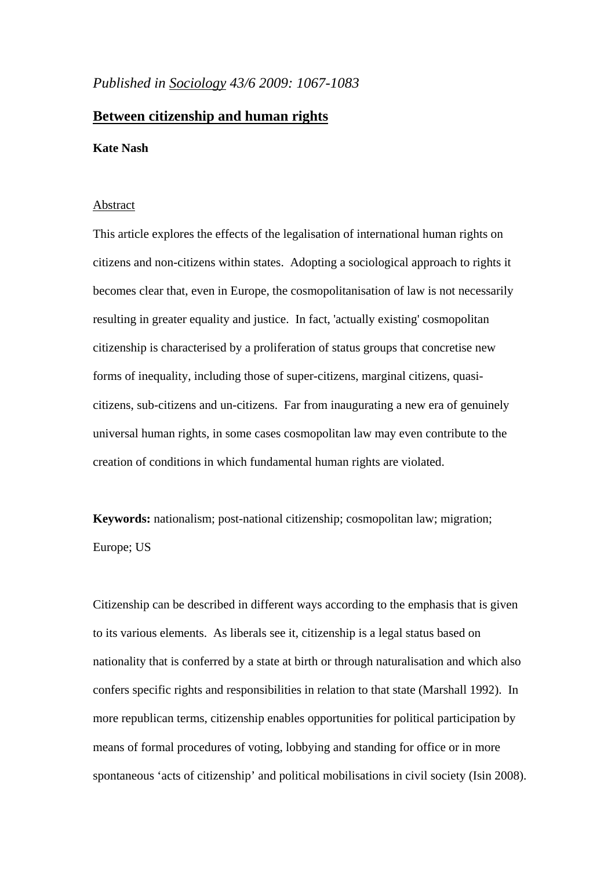# *Published in Sociology 43/6 2009: 1067-1083*

# **Between citizenship and human rights**

### **Kate Nash**

#### Abstract

This article explores the effects of the legalisation of international human rights on citizens and non-citizens within states. Adopting a sociological approach to rights it becomes clear that, even in Europe, the cosmopolitanisation of law is not necessarily resulting in greater equality and justice. In fact, 'actually existing' cosmopolitan citizenship is characterised by a proliferation of status groups that concretise new forms of inequality, including those of super-citizens, marginal citizens, quasicitizens, sub-citizens and un-citizens. Far from inaugurating a new era of genuinely universal human rights, in some cases cosmopolitan law may even contribute to the creation of conditions in which fundamental human rights are violated.

**Keywords:** nationalism; post-national citizenship; cosmopolitan law; migration; Europe; US

Citizenship can be described in different ways according to the emphasis that is given to its various elements. As liberals see it, citizenship is a legal status based on nationality that is conferred by a state at birth or through naturalisation and which also confers specific rights and responsibilities in relation to that state (Marshall 1992). In more republican terms, citizenship enables opportunities for political participation by means of formal procedures of voting, lobbying and standing for office or in more spontaneous 'acts of citizenship' and political mobilisations in civil society (Isin 2008).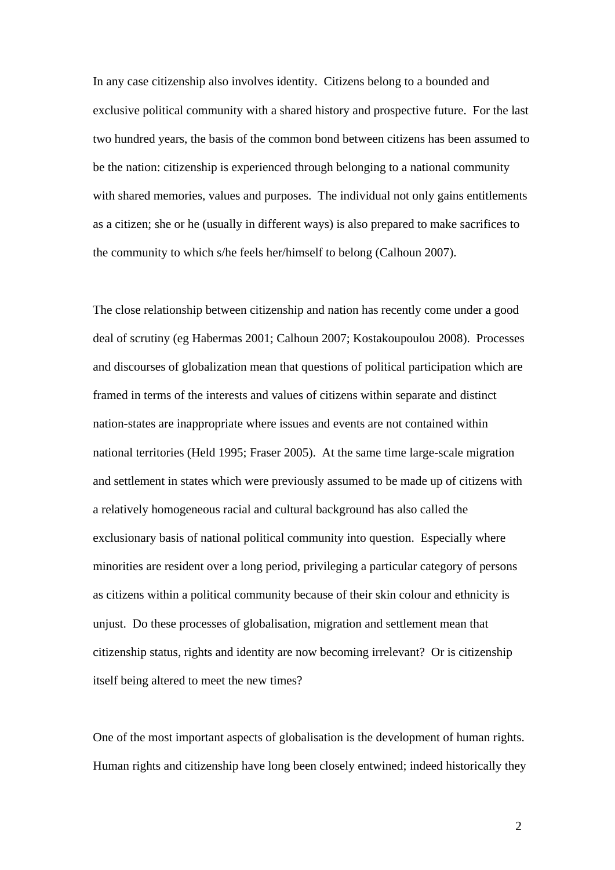In any case citizenship also involves identity. Citizens belong to a bounded and exclusive political community with a shared history and prospective future. For the last two hundred years, the basis of the common bond between citizens has been assumed to be the nation: citizenship is experienced through belonging to a national community with shared memories, values and purposes. The individual not only gains entitlements as a citizen; she or he (usually in different ways) is also prepared to make sacrifices to the community to which s/he feels her/himself to belong (Calhoun 2007).

The close relationship between citizenship and nation has recently come under a good deal of scrutiny (eg Habermas 2001; Calhoun 2007; Kostakoupoulou 2008). Processes and discourses of globalization mean that questions of political participation which are framed in terms of the interests and values of citizens within separate and distinct nation-states are inappropriate where issues and events are not contained within national territories (Held 1995; Fraser 2005). At the same time large-scale migration and settlement in states which were previously assumed to be made up of citizens with a relatively homogeneous racial and cultural background has also called the exclusionary basis of national political community into question. Especially where minorities are resident over a long period, privileging a particular category of persons as citizens within a political community because of their skin colour and ethnicity is unjust. Do these processes of globalisation, migration and settlement mean that citizenship status, rights and identity are now becoming irrelevant? Or is citizenship itself being altered to meet the new times?

One of the most important aspects of globalisation is the development of human rights. Human rights and citizenship have long been closely entwined; indeed historically they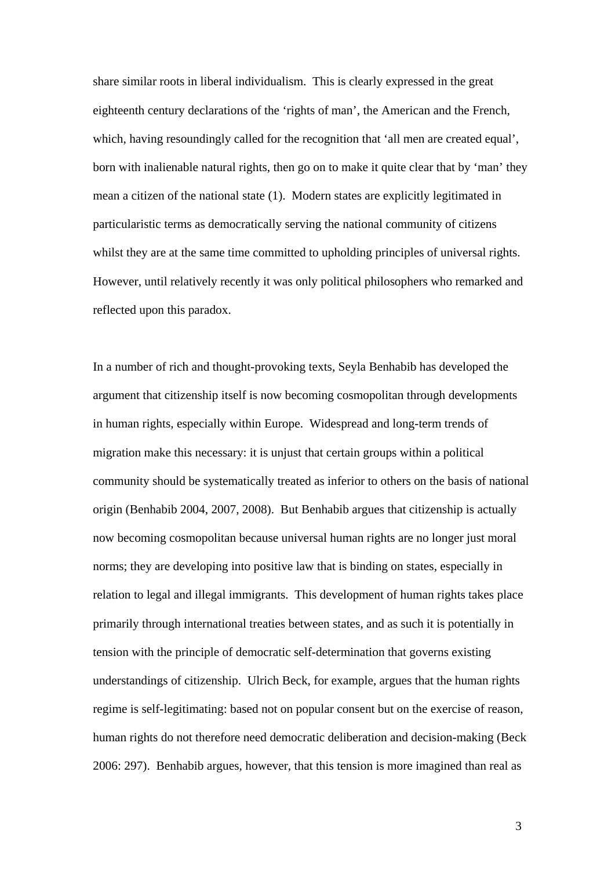share similar roots in liberal individualism. This is clearly expressed in the great eighteenth century declarations of the 'rights of man', the American and the French, which, having resoundingly called for the recognition that '[all men are created equal'](http://en.wikipedia.org/wiki/All_men_are_created_equal), born with inalienable natural rights, then go on to make it quite clear that by 'man' they mean a citizen of the national state (1). Modern states are explicitly legitimated in particularistic terms as democratically serving the national community of citizens whilst they are at the same time committed to upholding principles of universal rights. However, until relatively recently it was only political philosophers who remarked and reflected upon this paradox.

In a number of rich and thought-provoking texts, Seyla Benhabib has developed the argument that citizenship itself is now becoming cosmopolitan through developments in human rights, especially within Europe. Widespread and long-term trends of migration make this necessary: it is unjust that certain groups within a political community should be systematically treated as inferior to others on the basis of national origin (Benhabib 2004, 2007, 2008). But Benhabib argues that citizenship is actually now becoming cosmopolitan because universal human rights are no longer just moral norms; they are developing into positive law that is binding on states, especially in relation to legal and illegal immigrants. This development of human rights takes place primarily through international treaties between states, and as such it is potentially in tension with the principle of democratic self-determination that governs existing understandings of citizenship. Ulrich Beck, for example, argues that the human rights regime is self-legitimating: based not on popular consent but on the exercise of reason, human rights do not therefore need democratic deliberation and decision-making (Beck 2006: 297). Benhabib argues, however, that this tension is more imagined than real as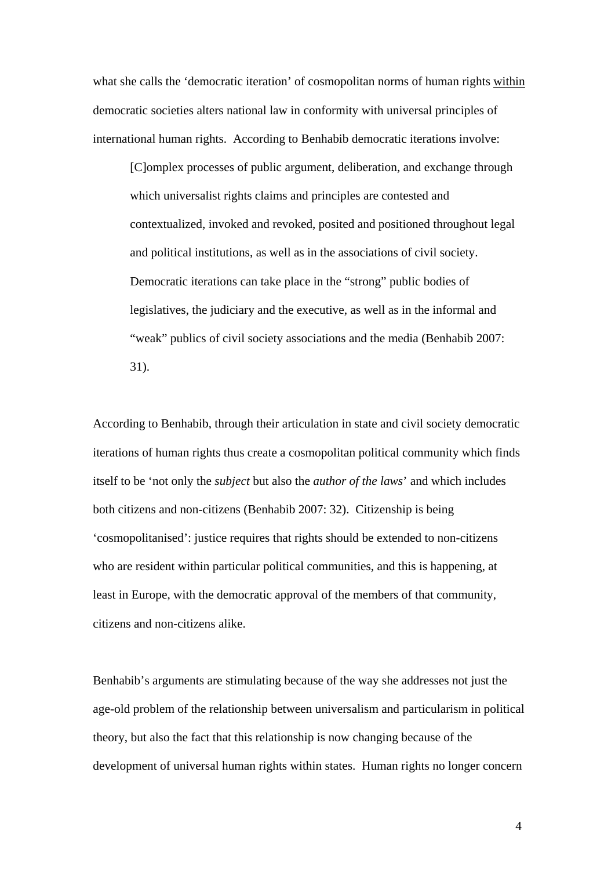what she calls the 'democratic iteration' of cosmopolitan norms of human rights within democratic societies alters national law in conformity with universal principles of international human rights. According to Benhabib democratic iterations involve:

[C]omplex processes of public argument, deliberation, and exchange through which universalist rights claims and principles are contested and contextualized, invoked and revoked, posited and positioned throughout legal and political institutions, as well as in the associations of civil society. Democratic iterations can take place in the "strong" public bodies of legislatives, the judiciary and the executive, as well as in the informal and "weak" publics of civil society associations and the media (Benhabib 2007: 31).

According to Benhabib, through their articulation in state and civil society democratic iterations of human rights thus create a cosmopolitan political community which finds itself to be 'not only the *subject* but also the *author of the laws*' and which includes both citizens and non-citizens (Benhabib 2007: 32). Citizenship is being 'cosmopolitanised': justice requires that rights should be extended to non-citizens who are resident within particular political communities, and this is happening, at least in Europe, with the democratic approval of the members of that community, citizens and non-citizens alike.

Benhabib's arguments are stimulating because of the way she addresses not just the age-old problem of the relationship between universalism and particularism in political theory, but also the fact that this relationship is now changing because of the development of universal human rights within states. Human rights no longer concern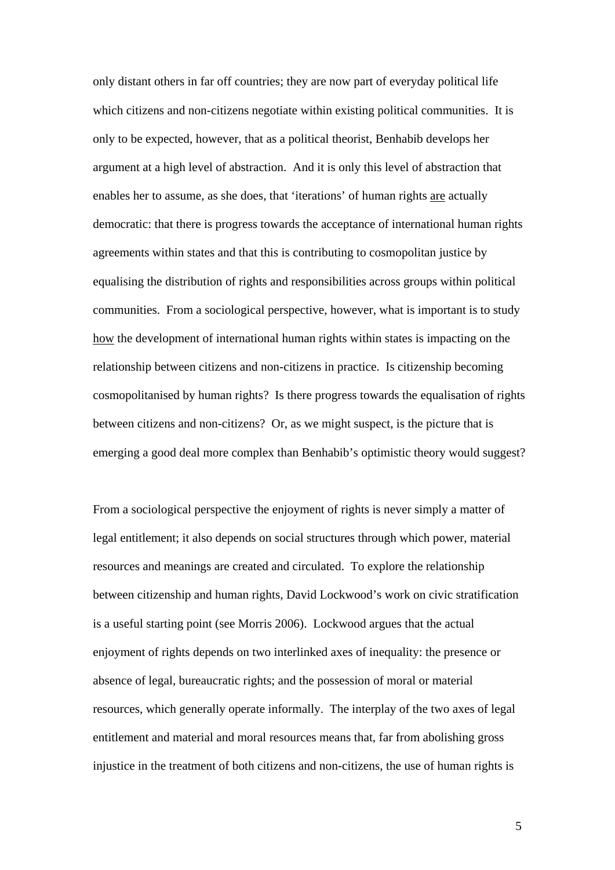only distant others in far off countries; they are now part of everyday political life which citizens and non-citizens negotiate within existing political communities. It is only to be expected, however, that as a political theorist, Benhabib develops her argument at a high level of abstraction. And it is only this level of abstraction that enables her to assume, as she does, that 'iterations' of human rights are actually democratic: that there is progress towards the acceptance of international human rights agreements within states and that this is contributing to cosmopolitan justice by equalising the distribution of rights and responsibilities across groups within political communities. From a sociological perspective, however, what is important is to study how the development of international human rights within states is impacting on the relationship between citizens and non-citizens in practice. Is citizenship becoming cosmopolitanised by human rights? Is there progress towards the equalisation of rights between citizens and non-citizens? Or, as we might suspect, is the picture that is emerging a good deal more complex than Benhabib's optimistic theory would suggest?

From a sociological perspective the enjoyment of rights is never simply a matter of legal entitlement; it also depends on social structures through which power, material resources and meanings are created and circulated. To explore the relationship between citizenship and human rights, David Lockwood's work on civic stratification is a useful starting point (see Morris 2006). Lockwood argues that the actual enjoyment of rights depends on two interlinked axes of inequality: the presence or absence of legal, bureaucratic rights; and the possession of moral or material resources, which generally operate informally. The interplay of the two axes of legal entitlement and material and moral resources means that, far from abolishing gross injustice in the treatment of both citizens and non-citizens, the use of human rights is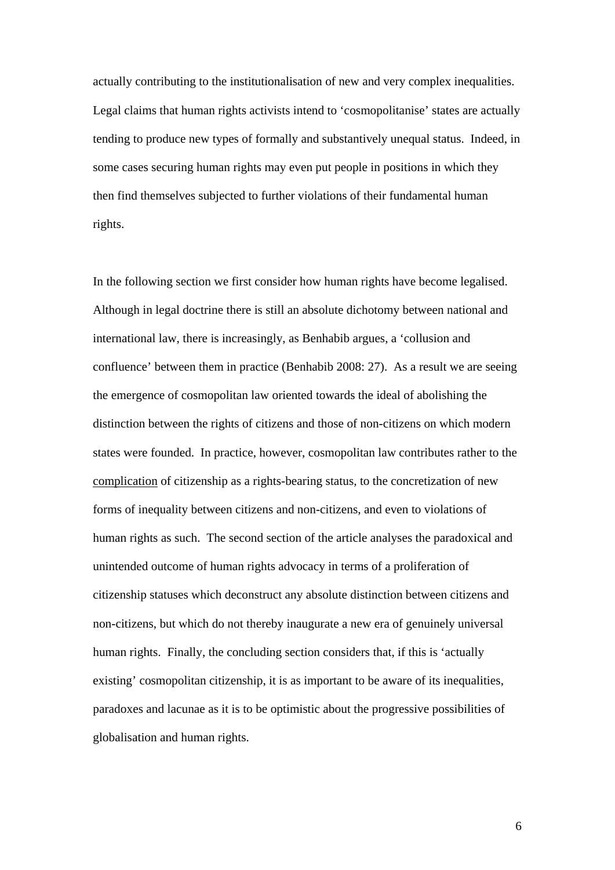actually contributing to the institutionalisation of new and very complex inequalities. Legal claims that human rights activists intend to 'cosmopolitanise' states are actually tending to produce new types of formally and substantively unequal status. Indeed, in some cases securing human rights may even put people in positions in which they then find themselves subjected to further violations of their fundamental human rights.

In the following section we first consider how human rights have become legalised. Although in legal doctrine there is still an absolute dichotomy between national and international law, there is increasingly, as Benhabib argues, a 'collusion and confluence' between them in practice (Benhabib 2008: 27). As a result we are seeing the emergence of cosmopolitan law oriented towards the ideal of abolishing the distinction between the rights of citizens and those of non-citizens on which modern states were founded. In practice, however, cosmopolitan law contributes rather to the complication of citizenship as a rights-bearing status, to the concretization of new forms of inequality between citizens and non-citizens, and even to violations of human rights as such. The second section of the article analyses the paradoxical and unintended outcome of human rights advocacy in terms of a proliferation of citizenship statuses which deconstruct any absolute distinction between citizens and non-citizens, but which do not thereby inaugurate a new era of genuinely universal human rights. Finally, the concluding section considers that, if this is 'actually existing' cosmopolitan citizenship, it is as important to be aware of its inequalities, paradoxes and lacunae as it is to be optimistic about the progressive possibilities of globalisation and human rights.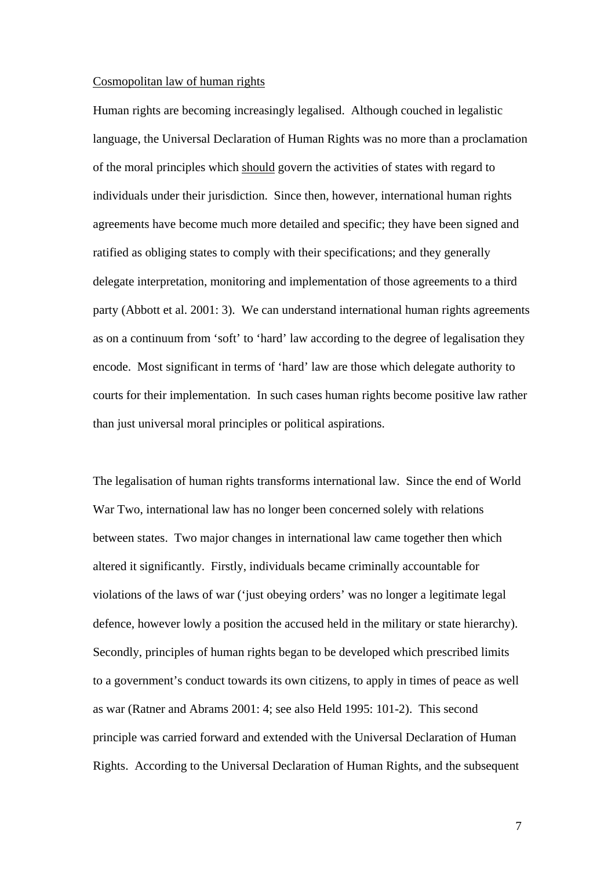#### Cosmopolitan law of human rights

Human rights are becoming increasingly legalised. Although couched in legalistic language, the Universal Declaration of Human Rights was no more than a proclamation of the moral principles which should govern the activities of states with regard to individuals under their jurisdiction. Since then, however, international human rights agreements have become much more detailed and specific; they have been signed and ratified as obliging states to comply with their specifications; and they generally delegate interpretation, monitoring and implementation of those agreements to a third party (Abbott et al. 2001: 3). We can understand international human rights agreements as on a continuum from 'soft' to 'hard' law according to the degree of legalisation they encode. Most significant in terms of 'hard' law are those which delegate authority to courts for their implementation. In such cases human rights become positive law rather than just universal moral principles or political aspirations.

The legalisation of human rights transforms international law. Since the end of World War Two, international law has no longer been concerned solely with relations between states. Two major changes in international law came together then which altered it significantly. Firstly, individuals became criminally accountable for violations of the laws of war ('just obeying orders' was no longer a legitimate legal defence, however lowly a position the accused held in the military or state hierarchy). Secondly, principles of human rights began to be developed which prescribed limits to a government's conduct towards its own citizens, to apply in times of peace as well as war (Ratner and Abrams 2001: 4; see also Held 1995: 101-2). This second principle was carried forward and extended with the Universal Declaration of Human Rights. According to the Universal Declaration of Human Rights, and the subsequent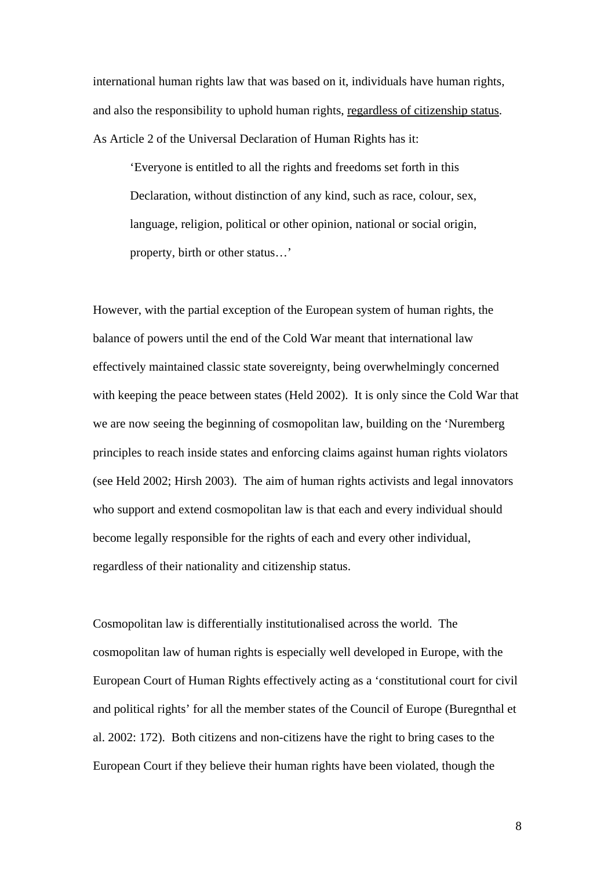international human rights law that was based on it, individuals have human rights, and also the responsibility to uphold human rights, regardless of citizenship status. As Article 2 of the Universal Declaration of Human Rights has it:

'Everyone is entitled to all the rights and freedoms set forth in this Declaration, without distinction of any kind, such as race, colour, sex, language, religion, political or other opinion, national or social origin, property, birth or other status…'

However, with the partial exception of the European system of human rights, the balance of powers until the end of the Cold War meant that international law effectively maintained classic state sovereignty, being overwhelmingly concerned with keeping the peace between states (Held 2002). It is only since the Cold War that we are now seeing the beginning of cosmopolitan law, building on the 'Nuremberg principles to reach inside states and enforcing claims against human rights violators (see Held 2002; Hirsh 2003). The aim of human rights activists and legal innovators who support and extend cosmopolitan law is that each and every individual should become legally responsible for the rights of each and every other individual, regardless of their nationality and citizenship status.

Cosmopolitan law is differentially institutionalised across the world. The cosmopolitan law of human rights is especially well developed in Europe, with the European Court of Human Rights effectively acting as a 'constitutional court for civil and political rights' for all the member states of the Council of Europe (Buregnthal et al. 2002: 172). Both citizens and non-citizens have the right to bring cases to the European Court if they believe their human rights have been violated, though the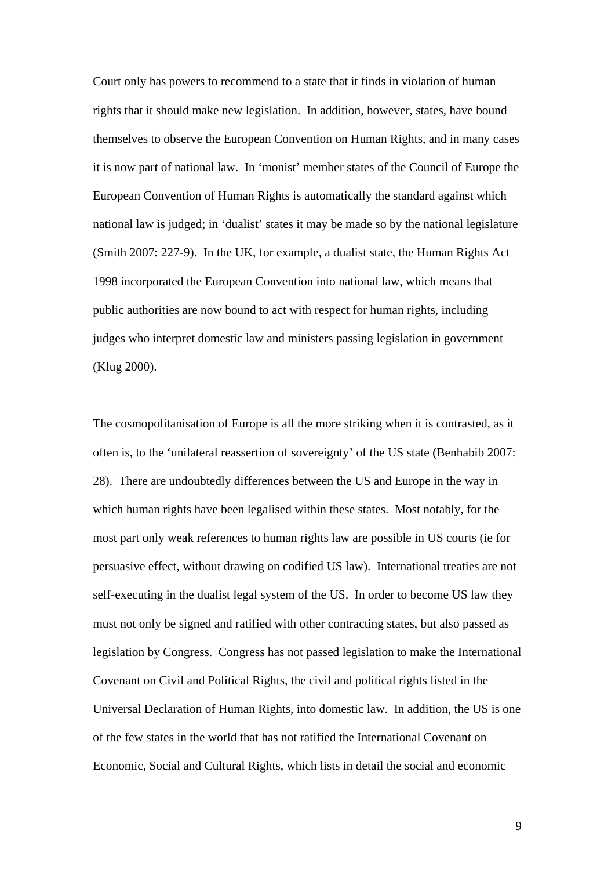Court only has powers to recommend to a state that it finds in violation of human rights that it should make new legislation. In addition, however, states, have bound themselves to observe the European Convention on Human Rights, and in many cases it is now part of national law. In 'monist' member states of the Council of Europe the European Convention of Human Rights is automatically the standard against which national law is judged; in 'dualist' states it may be made so by the national legislature (Smith 2007: 227-9). In the UK, for example, a dualist state, the Human Rights Act 1998 incorporated the European Convention into national law, which means that public authorities are now bound to act with respect for human rights, including judges who interpret domestic law and ministers passing legislation in government (Klug 2000).

The cosmopolitanisation of Europe is all the more striking when it is contrasted, as it often is, to the 'unilateral reassertion of sovereignty' of the US state (Benhabib 2007: 28). There are undoubtedly differences between the US and Europe in the way in which human rights have been legalised within these states. Most notably, for the most part only weak references to human rights law are possible in US courts (ie for persuasive effect, without drawing on codified US law). International treaties are not self-executing in the dualist legal system of the US. In order to become US law they must not only be signed and ratified with other contracting states, but also passed as legislation by Congress. Congress has not passed legislation to make the International Covenant on Civil and Political Rights, the civil and political rights listed in the Universal Declaration of Human Rights, into domestic law. In addition, the US is one of the few states in the world that has not ratified the International Covenant on Economic, Social and Cultural Rights, which lists in detail the social and economic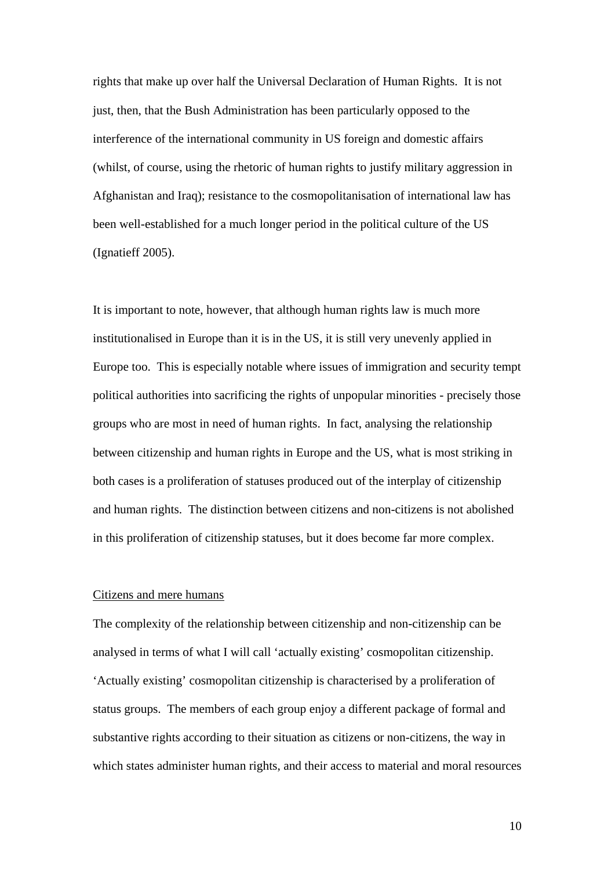rights that make up over half the Universal Declaration of Human Rights. It is not just, then, that the Bush Administration has been particularly opposed to the interference of the international community in US foreign and domestic affairs (whilst, of course, using the rhetoric of human rights to justify military aggression in Afghanistan and Iraq); resistance to the cosmopolitanisation of international law has been well-established for a much longer period in the political culture of the US (Ignatieff 2005).

It is important to note, however, that although human rights law is much more institutionalised in Europe than it is in the US, it is still very unevenly applied in Europe too. This is especially notable where issues of immigration and security tempt political authorities into sacrificing the rights of unpopular minorities - precisely those groups who are most in need of human rights. In fact, analysing the relationship between citizenship and human rights in Europe and the US, what is most striking in both cases is a proliferation of statuses produced out of the interplay of citizenship and human rights. The distinction between citizens and non-citizens is not abolished in this proliferation of citizenship statuses, but it does become far more complex.

### Citizens and mere humans

The complexity of the relationship between citizenship and non-citizenship can be analysed in terms of what I will call 'actually existing' cosmopolitan citizenship. 'Actually existing' cosmopolitan citizenship is characterised by a proliferation of status groups. The members of each group enjoy a different package of formal and substantive rights according to their situation as citizens or non-citizens, the way in which states administer human rights, and their access to material and moral resources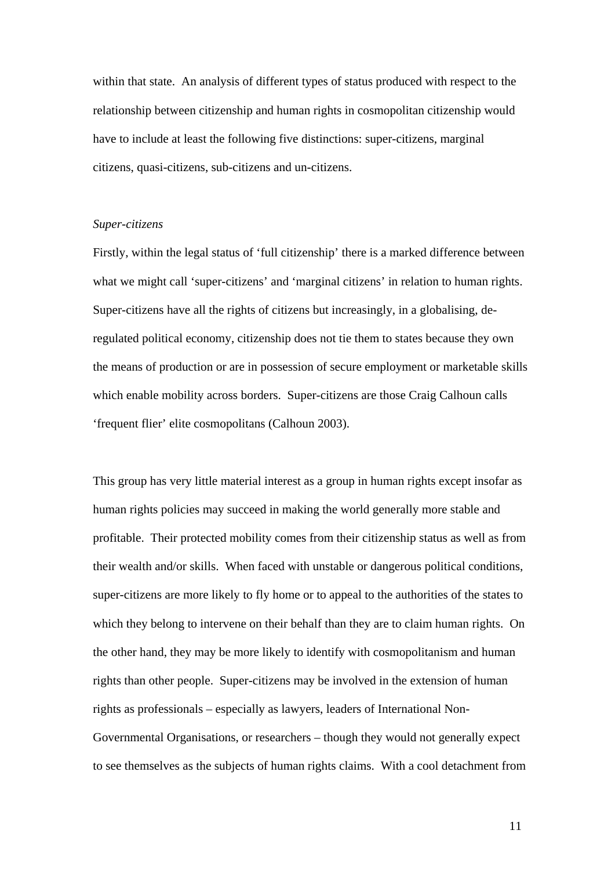within that state. An analysis of different types of status produced with respect to the relationship between citizenship and human rights in cosmopolitan citizenship would have to include at least the following five distinctions: super-citizens, marginal citizens, quasi-citizens, sub-citizens and un-citizens.

### *Super-citizens*

Firstly, within the legal status of 'full citizenship' there is a marked difference between what we might call 'super-citizens' and 'marginal citizens' in relation to human rights. Super-citizens have all the rights of citizens but increasingly, in a globalising, deregulated political economy, citizenship does not tie them to states because they own the means of production or are in possession of secure employment or marketable skills which enable mobility across borders. Super-citizens are those Craig Calhoun calls 'frequent flier' elite cosmopolitans (Calhoun 2003).

This group has very little material interest as a group in human rights except insofar as human rights policies may succeed in making the world generally more stable and profitable. Their protected mobility comes from their citizenship status as well as from their wealth and/or skills. When faced with unstable or dangerous political conditions, super-citizens are more likely to fly home or to appeal to the authorities of the states to which they belong to intervene on their behalf than they are to claim human rights. On the other hand, they may be more likely to identify with cosmopolitanism and human rights than other people. Super-citizens may be involved in the extension of human rights as professionals – especially as lawyers, leaders of International Non-Governmental Organisations, or researchers – though they would not generally expect to see themselves as the subjects of human rights claims. With a cool detachment from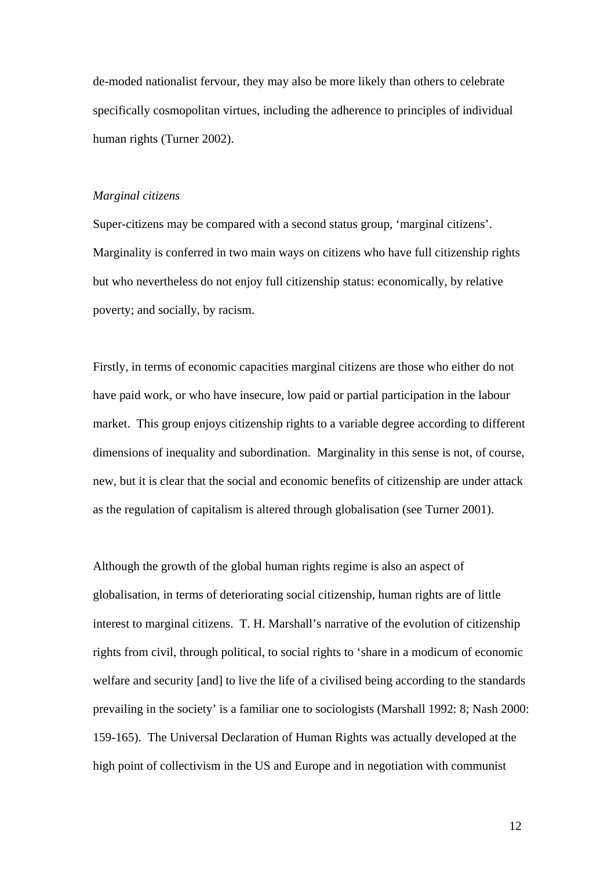de-moded nationalist fervour, they may also be more likely than others to celebrate specifically cosmopolitan virtues, including the adherence to principles of individual human rights (Turner 2002).

#### *Marginal citizens*

Super-citizens may be compared with a second status group, 'marginal citizens'. Marginality is conferred in two main ways on citizens who have full citizenship rights but who nevertheless do not enjoy full citizenship status: economically, by relative poverty; and socially, by racism.

Firstly, in terms of economic capacities marginal citizens are those who either do not have paid work, or who have insecure, low paid or partial participation in the labour market. This group enjoys citizenship rights to a variable degree according to different dimensions of inequality and subordination. Marginality in this sense is not, of course, new, but it is clear that the social and economic benefits of citizenship are under attack as the regulation of capitalism is altered through globalisation (see Turner 2001).

Although the growth of the global human rights regime is also an aspect of globalisation, in terms of deteriorating social citizenship, human rights are of little interest to marginal citizens. T. H. Marshall's narrative of the evolution of citizenship rights from civil, through political, to social rights to 'share in a modicum of economic welfare and security [and] to live the life of a civilised being according to the standards prevailing in the society' is a familiar one to sociologists (Marshall 1992: 8; Nash 2000: 159-165). The Universal Declaration of Human Rights was actually developed at the high point of collectivism in the US and Europe and in negotiation with communist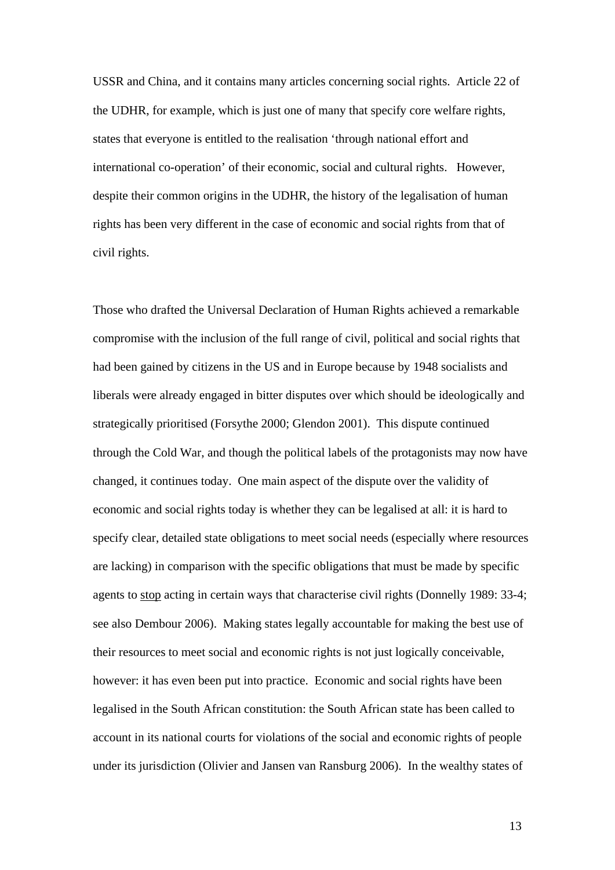USSR and China, and it contains many articles concerning social rights. Article 22 of the UDHR, for example, which is just one of many that specify core welfare rights, states that everyone is entitled to the realisation 'through national effort and international co-operation' of their economic, social and cultural rights. However, despite their common origins in the UDHR, the history of the legalisation of human rights has been very different in the case of economic and social rights from that of civil rights.

Those who drafted the Universal Declaration of Human Rights achieved a remarkable compromise with the inclusion of the full range of civil, political and social rights that had been gained by citizens in the US and in Europe because by 1948 socialists and liberals were already engaged in bitter disputes over which should be ideologically and strategically prioritised (Forsythe 2000; Glendon 2001). This dispute continued through the Cold War, and though the political labels of the protagonists may now have changed, it continues today. One main aspect of the dispute over the validity of economic and social rights today is whether they can be legalised at all: it is hard to specify clear, detailed state obligations to meet social needs (especially where resources are lacking) in comparison with the specific obligations that must be made by specific agents to stop acting in certain ways that characterise civil rights (Donnelly 1989: 33-4; see also Dembour 2006). Making states legally accountable for making the best use of their resources to meet social and economic rights is not just logically conceivable, however: it has even been put into practice. Economic and social rights have been legalised in the South African constitution: the South African state has been called to account in its national courts for violations of the social and economic rights of people under its jurisdiction (Olivier and Jansen van Ransburg 2006). In the wealthy states of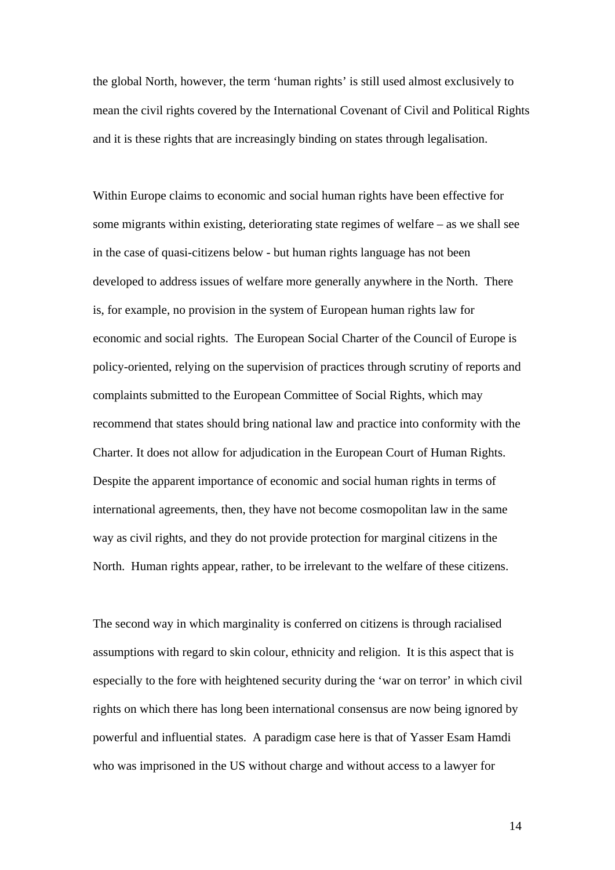the global North, however, the term 'human rights' is still used almost exclusively to mean the civil rights covered by the International Covenant of Civil and Political Rights and it is these rights that are increasingly binding on states through legalisation.

Within Europe claims to economic and social human rights have been effective for some migrants within existing, deteriorating state regimes of welfare – as we shall see in the case of quasi-citizens below - but human rights language has not been developed to address issues of welfare more generally anywhere in the North. There is, for example, no provision in the system of European human rights law for economic and social rights. The European Social Charter of the Council of Europe is policy-oriented, relying on the supervision of practices through scrutiny of reports and complaints submitted to the European Committee of Social Rights, which may recommend that states should bring national law and practice into conformity with the Charter. It does not allow for adjudication in the European Court of Human Rights. Despite the apparent importance of economic and social human rights in terms of international agreements, then, they have not become cosmopolitan law in the same way as civil rights, and they do not provide protection for marginal citizens in the North. Human rights appear, rather, to be irrelevant to the welfare of these citizens.

The second way in which marginality is conferred on citizens is through racialised assumptions with regard to skin colour, ethnicity and religion. It is this aspect that is especially to the fore with heightened security during the 'war on terror' in which civil rights on which there has long been international consensus are now being ignored by powerful and influential states. A paradigm case here is that of Yasser Esam Hamdi who was imprisoned in the US without charge and without access to a lawyer for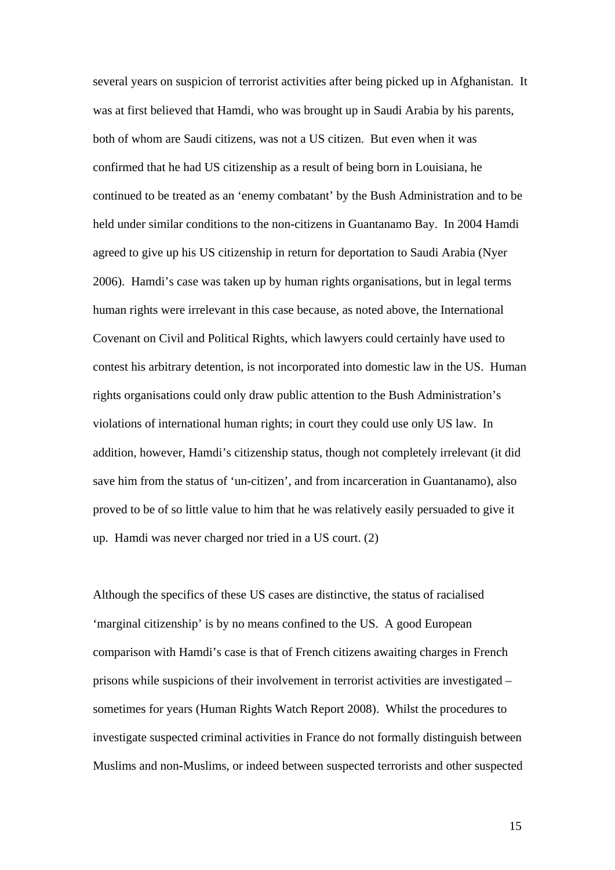several years on suspicion of terrorist activities after being picked up in Afghanistan. It was at first believed that Hamdi, who was brought up in Saudi Arabia by his parents, both of whom are Saudi citizens, was not a US citizen. But even when it was confirmed that he had US citizenship as a result of being born in Louisiana, he continued to be treated as an 'enemy combatant' by the Bush Administration and to be held under similar conditions to the non-citizens in Guantanamo Bay. In 2004 Hamdi agreed to give up his US citizenship in return for deportation to Saudi Arabia (Nyer 2006). Hamdi's case was taken up by human rights organisations, but in legal terms human rights were irrelevant in this case because, as noted above, the International Covenant on Civil and Political Rights, which lawyers could certainly have used to contest his arbitrary detention, is not incorporated into domestic law in the US. Human rights organisations could only draw public attention to the Bush Administration's violations of international human rights; in court they could use only US law. In addition, however, Hamdi's citizenship status, though not completely irrelevant (it did save him from the status of 'un-citizen', and from incarceration in Guantanamo), also proved to be of so little value to him that he was relatively easily persuaded to give it up. Hamdi was never charged nor tried in a US court. (2)

Although the specifics of these US cases are distinctive, the status of racialised 'marginal citizenship' is by no means confined to the US. A good European comparison with Hamdi's case is that of French citizens awaiting charges in French prisons while suspicions of their involvement in terrorist activities are investigated – sometimes for years (Human Rights Watch Report 2008). Whilst the procedures to investigate suspected criminal activities in France do not formally distinguish between Muslims and non-Muslims, or indeed between suspected terrorists and other suspected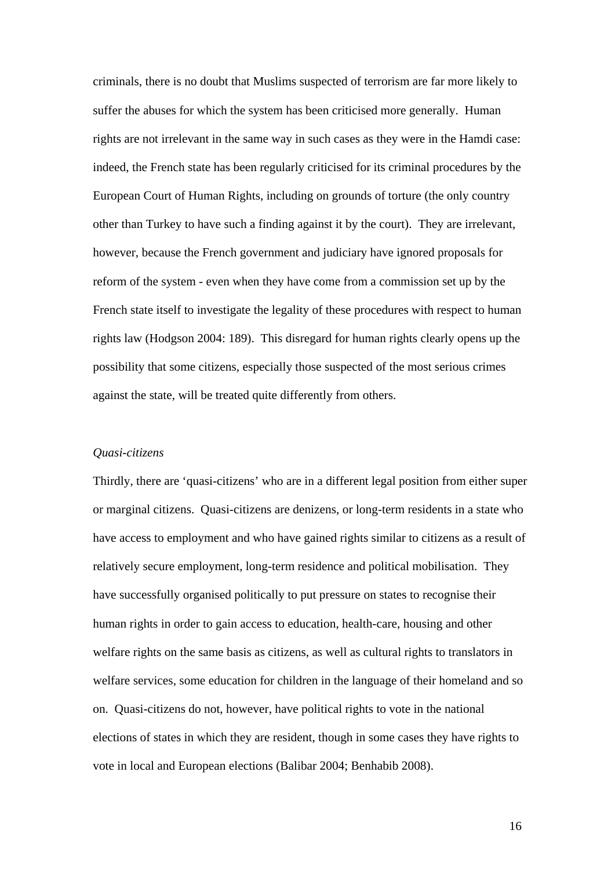criminals, there is no doubt that Muslims suspected of terrorism are far more likely to suffer the abuses for which the system has been criticised more generally. Human rights are not irrelevant in the same way in such cases as they were in the Hamdi case: indeed, the French state has been regularly criticised for its criminal procedures by the European Court of Human Rights, including on grounds of torture (the only country other than Turkey to have such a finding against it by the court). They are irrelevant, however, because the French government and judiciary have ignored proposals for reform of the system - even when they have come from a commission set up by the French state itself to investigate the legality of these procedures with respect to human rights law (Hodgson 2004: 189). This disregard for human rights clearly opens up the possibility that some citizens, especially those suspected of the most serious crimes against the state, will be treated quite differently from others.

#### *Quasi-citizens*

Thirdly, there are 'quasi-citizens' who are in a different legal position from either super or marginal citizens. Quasi-citizens are denizens, or long-term residents in a state who have access to employment and who have gained rights similar to citizens as a result of relatively secure employment, long-term residence and political mobilisation. They have successfully organised politically to put pressure on states to recognise their human rights in order to gain access to education, health-care, housing and other welfare rights on the same basis as citizens, as well as cultural rights to translators in welfare services, some education for children in the language of their homeland and so on. Quasi-citizens do not, however, have political rights to vote in the national elections of states in which they are resident, though in some cases they have rights to vote in local and European elections (Balibar 2004; Benhabib 2008).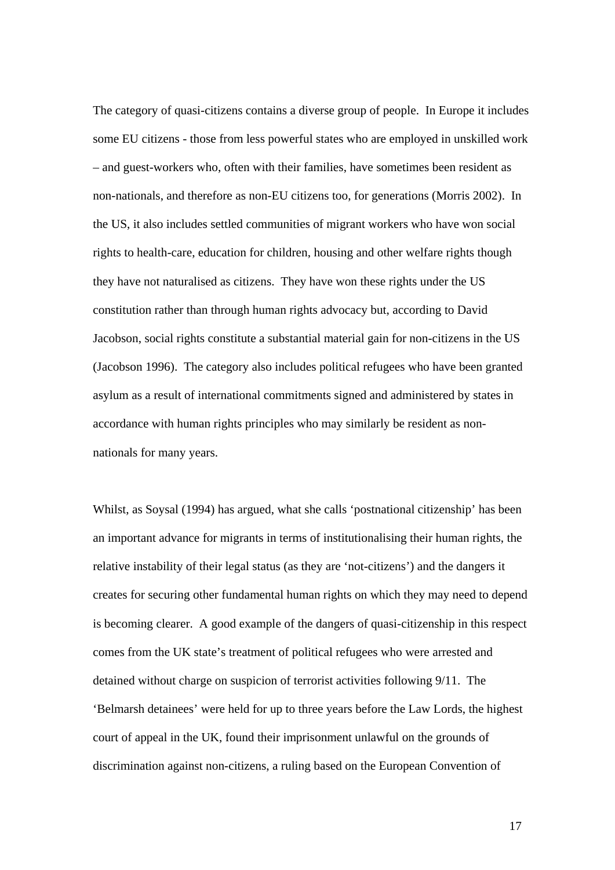The category of quasi-citizens contains a diverse group of people. In Europe it includes some EU citizens - those from less powerful states who are employed in unskilled work – and guest-workers who, often with their families, have sometimes been resident as non-nationals, and therefore as non-EU citizens too, for generations (Morris 2002). In the US, it also includes settled communities of migrant workers who have won social rights to health-care, education for children, housing and other welfare rights though they have not naturalised as citizens. They have won these rights under the US constitution rather than through human rights advocacy but, according to David Jacobson, social rights constitute a substantial material gain for non-citizens in the US (Jacobson 1996). The category also includes political refugees who have been granted asylum as a result of international commitments signed and administered by states in accordance with human rights principles who may similarly be resident as nonnationals for many years.

Whilst, as Soysal (1994) has argued, what she calls 'postnational citizenship' has been an important advance for migrants in terms of institutionalising their human rights, the relative instability of their legal status (as they are 'not-citizens') and the dangers it creates for securing other fundamental human rights on which they may need to depend is becoming clearer. A good example of the dangers of quasi-citizenship in this respect comes from the UK state's treatment of political refugees who were arrested and detained without charge on suspicion of terrorist activities following 9/11. The 'Belmarsh detainees' were held for up to three years before the Law Lords, the highest court of appeal in the UK, found their imprisonment unlawful on the grounds of discrimination against non-citizens, a ruling based on the European Convention of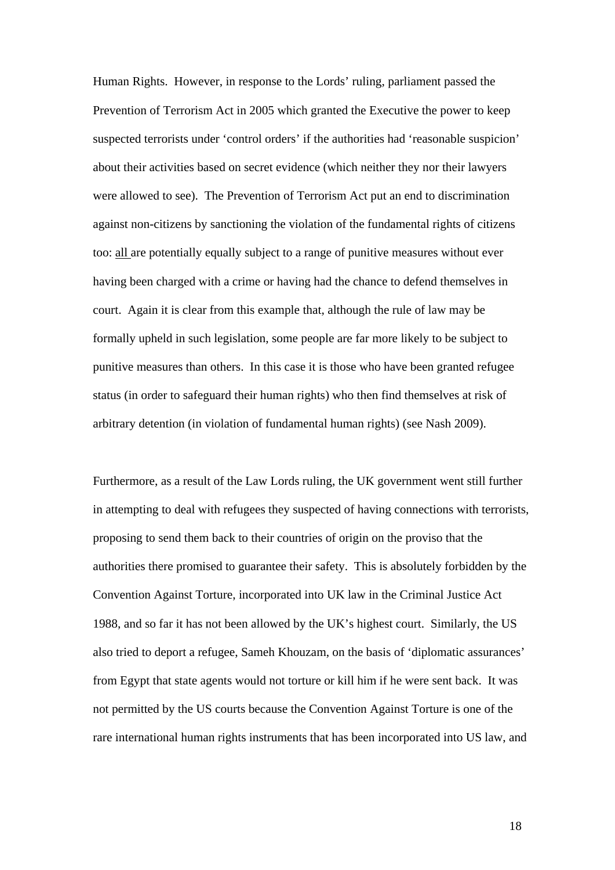Human Rights. However, in response to the Lords' ruling, parliament passed the Prevention of Terrorism Act in 2005 which granted the Executive the power to keep suspected terrorists under 'control orders' if the authorities had 'reasonable suspicion' about their activities based on secret evidence (which neither they nor their lawyers were allowed to see). The Prevention of Terrorism Act put an end to discrimination against non-citizens by sanctioning the violation of the fundamental rights of citizens too: all are potentially equally subject to a range of punitive measures without ever having been charged with a crime or having had the chance to defend themselves in court. Again it is clear from this example that, although the rule of law may be formally upheld in such legislation, some people are far more likely to be subject to punitive measures than others. In this case it is those who have been granted refugee status (in order to safeguard their human rights) who then find themselves at risk of arbitrary detention (in violation of fundamental human rights) (see Nash 2009).

Furthermore, as a result of the Law Lords ruling, the UK government went still further in attempting to deal with refugees they suspected of having connections with terrorists, proposing to send them back to their countries of origin on the proviso that the authorities there promised to guarantee their safety. This is absolutely forbidden by the Convention Against Torture, incorporated into UK law in the Criminal Justice Act 1988, and so far it has not been allowed by the UK's highest court. Similarly, the US also tried to deport a refugee, Sameh Khouzam, on the basis of 'diplomatic assurances' from Egypt that state agents would not torture or kill him if he were sent back. It was not permitted by the US courts because the Convention Against Torture is one of the rare international human rights instruments that has been incorporated into US law, and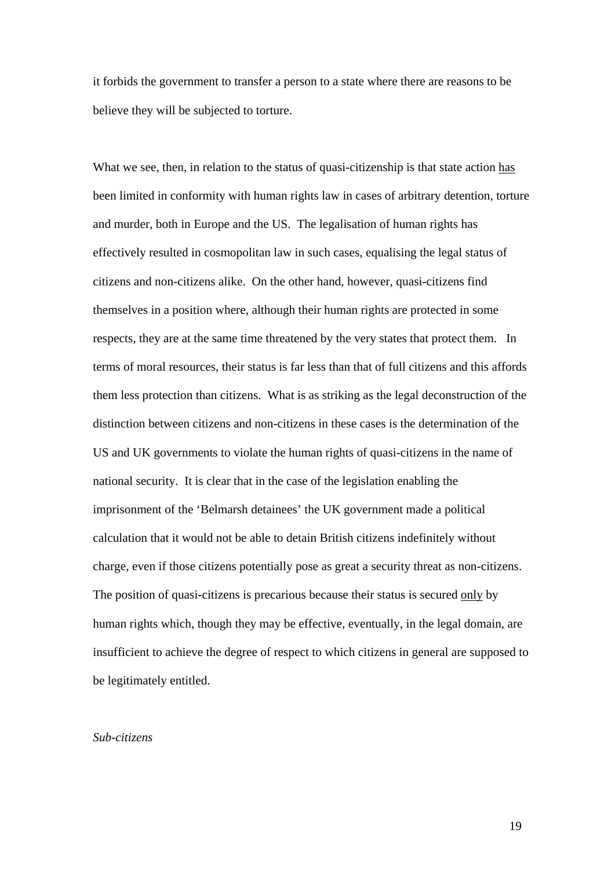it forbids the government to transfer a person to a state where there are reasons to be believe they will be subjected to torture.

What we see, then, in relation to the status of quasi-citizenship is that state action has been limited in conformity with human rights law in cases of arbitrary detention, torture and murder, both in Europe and the US. The legalisation of human rights has effectively resulted in cosmopolitan law in such cases, equalising the legal status of citizens and non-citizens alike. On the other hand, however, quasi-citizens find themselves in a position where, although their human rights are protected in some respects, they are at the same time threatened by the very states that protect them. In terms of moral resources, their status is far less than that of full citizens and this affords them less protection than citizens. What is as striking as the legal deconstruction of the distinction between citizens and non-citizens in these cases is the determination of the US and UK governments to violate the human rights of quasi-citizens in the name of national security. It is clear that in the case of the legislation enabling the imprisonment of the 'Belmarsh detainees' the UK government made a political calculation that it would not be able to detain British citizens indefinitely without charge, even if those citizens potentially pose as great a security threat as non-citizens. The position of quasi-citizens is precarious because their status is secured only by human rights which, though they may be effective, eventually, in the legal domain, are insufficient to achieve the degree of respect to which citizens in general are supposed to be legitimately entitled.

## *Sub-citizens*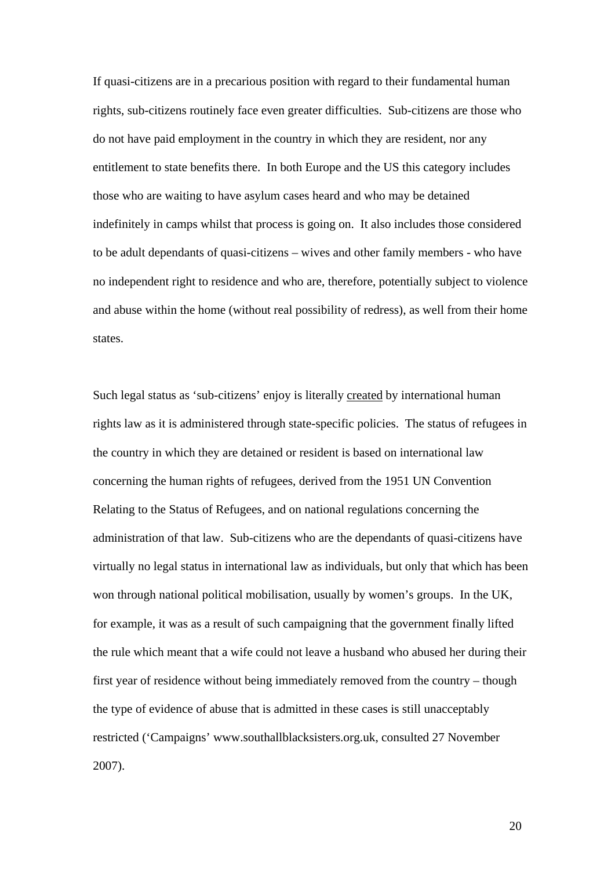If quasi-citizens are in a precarious position with regard to their fundamental human rights, sub-citizens routinely face even greater difficulties. Sub-citizens are those who do not have paid employment in the country in which they are resident, nor any entitlement to state benefits there. In both Europe and the US this category includes those who are waiting to have asylum cases heard and who may be detained indefinitely in camps whilst that process is going on. It also includes those considered to be adult dependants of quasi-citizens – wives and other family members - who have no independent right to residence and who are, therefore, potentially subject to violence and abuse within the home (without real possibility of redress), as well from their home states.

Such legal status as 'sub-citizens' enjoy is literally created by international human rights law as it is administered through state-specific policies. The status of refugees in the country in which they are detained or resident is based on international law concerning the human rights of refugees, derived from the 1951 UN Convention Relating to the Status of Refugees, and on national regulations concerning the administration of that law. Sub-citizens who are the dependants of quasi-citizens have virtually no legal status in international law as individuals, but only that which has been won through national political mobilisation, usually by women's groups. In the UK, for example, it was as a result of such campaigning that the government finally lifted the rule which meant that a wife could not leave a husband who abused her during their first year of residence without being immediately removed from the country – though the type of evidence of abuse that is admitted in these cases is still unacceptably restricted ('Campaigns' [www.southallblacksisters.org.uk,](http://www.southallblacksisters.org.uk/) consulted 27 November 2007).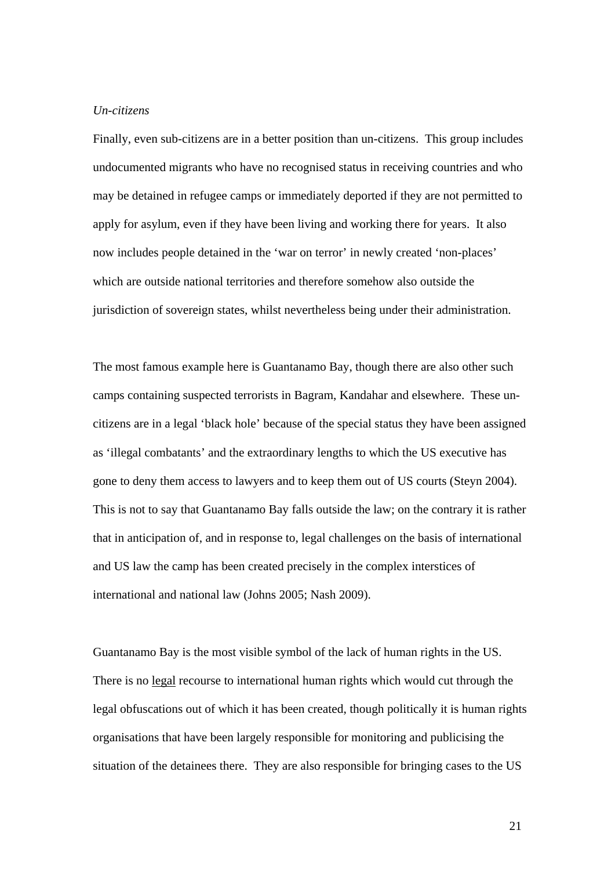### *Un-citizens*

Finally, even sub-citizens are in a better position than un-citizens. This group includes undocumented migrants who have no recognised status in receiving countries and who may be detained in refugee camps or immediately deported if they are not permitted to apply for asylum, even if they have been living and working there for years. It also now includes people detained in the 'war on terror' in newly created 'non-places' which are outside national territories and therefore somehow also outside the jurisdiction of sovereign states, whilst nevertheless being under their administration.

The most famous example here is Guantanamo Bay, though there are also other such camps containing suspected terrorists in Bagram, Kandahar and elsewhere. These uncitizens are in a legal 'black hole' because of the special status they have been assigned as 'illegal combatants' and the extraordinary lengths to which the US executive has gone to deny them access to lawyers and to keep them out of US courts (Steyn 2004). This is not to say that Guantanamo Bay falls outside the law; on the contrary it is rather that in anticipation of, and in response to, legal challenges on the basis of international and US law the camp has been created precisely in the complex interstices of international and national law (Johns 2005; Nash 2009).

Guantanamo Bay is the most visible symbol of the lack of human rights in the US. There is no legal recourse to international human rights which would cut through the legal obfuscations out of which it has been created, though politically it is human rights organisations that have been largely responsible for monitoring and publicising the situation of the detainees there. They are also responsible for bringing cases to the US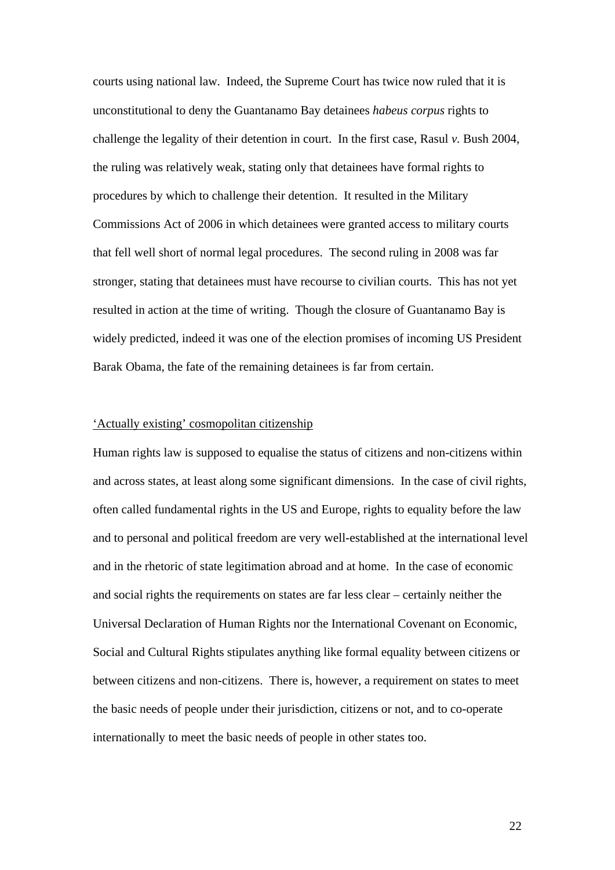courts using national law. Indeed, the Supreme Court has twice now ruled that it is unconstitutional to deny the Guantanamo Bay detainees *habeus corpus* rights to challenge the legality of their detention in court. In the first case, Rasul *v.* Bush 2004, the ruling was relatively weak, stating only that detainees have formal rights to procedures by which to challenge their detention. It resulted in the Military Commissions Act of 2006 in which detainees were granted access to military courts that fell well short of normal legal procedures. The second ruling in 2008 was far stronger, stating that detainees must have recourse to civilian courts. This has not yet resulted in action at the time of writing. Though the closure of Guantanamo Bay is widely predicted, indeed it was one of the election promises of incoming US President Barak Obama, the fate of the remaining detainees is far from certain.

### 'Actually existing' cosmopolitan citizenship

Human rights law is supposed to equalise the status of citizens and non-citizens within and across states, at least along some significant dimensions. In the case of civil rights, often called fundamental rights in the US and Europe, rights to equality before the law and to personal and political freedom are very well-established at the international level and in the rhetoric of state legitimation abroad and at home. In the case of economic and social rights the requirements on states are far less clear – certainly neither the Universal Declaration of Human Rights nor the International Covenant on Economic, Social and Cultural Rights stipulates anything like formal equality between citizens or between citizens and non-citizens. There is, however, a requirement on states to meet the basic needs of people under their jurisdiction, citizens or not, and to co-operate internationally to meet the basic needs of people in other states too.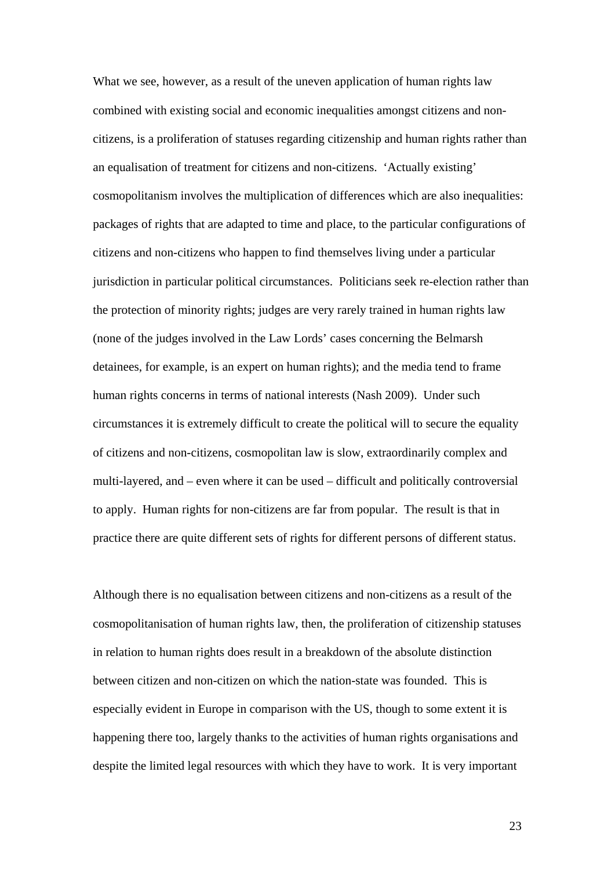What we see, however, as a result of the uneven application of human rights law combined with existing social and economic inequalities amongst citizens and noncitizens, is a proliferation of statuses regarding citizenship and human rights rather than an equalisation of treatment for citizens and non-citizens. 'Actually existing' cosmopolitanism involves the multiplication of differences which are also inequalities: packages of rights that are adapted to time and place, to the particular configurations of citizens and non-citizens who happen to find themselves living under a particular jurisdiction in particular political circumstances. Politicians seek re-election rather than the protection of minority rights; judges are very rarely trained in human rights law (none of the judges involved in the Law Lords' cases concerning the Belmarsh detainees, for example, is an expert on human rights); and the media tend to frame human rights concerns in terms of national interests (Nash 2009). Under such circumstances it is extremely difficult to create the political will to secure the equality of citizens and non-citizens, cosmopolitan law is slow, extraordinarily complex and multi-layered, and – even where it can be used – difficult and politically controversial to apply. Human rights for non-citizens are far from popular. The result is that in practice there are quite different sets of rights for different persons of different status.

Although there is no equalisation between citizens and non-citizens as a result of the cosmopolitanisation of human rights law, then, the proliferation of citizenship statuses in relation to human rights does result in a breakdown of the absolute distinction between citizen and non-citizen on which the nation-state was founded. This is especially evident in Europe in comparison with the US, though to some extent it is happening there too, largely thanks to the activities of human rights organisations and despite the limited legal resources with which they have to work. It is very important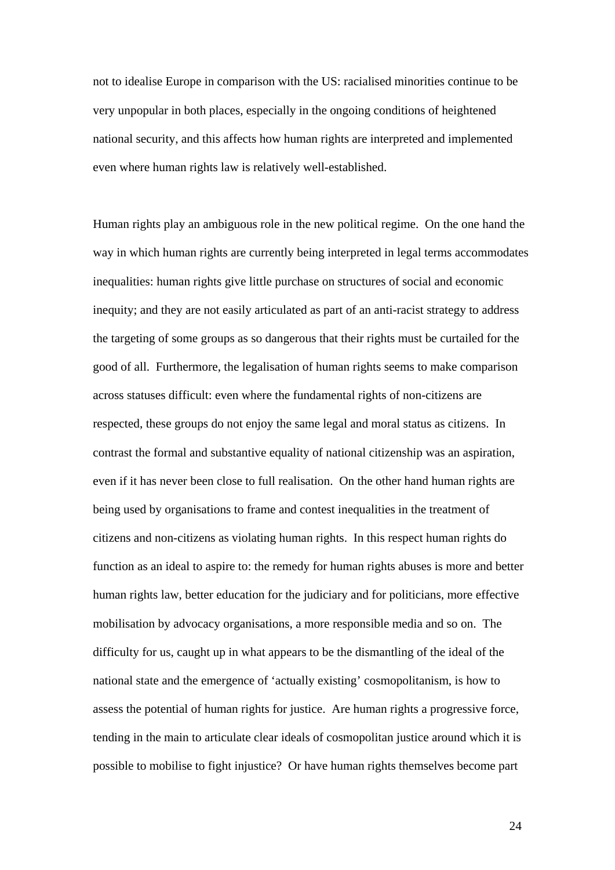not to idealise Europe in comparison with the US: racialised minorities continue to be very unpopular in both places, especially in the ongoing conditions of heightened national security, and this affects how human rights are interpreted and implemented even where human rights law is relatively well-established.

Human rights play an ambiguous role in the new political regime. On the one hand the way in which human rights are currently being interpreted in legal terms accommodates inequalities: human rights give little purchase on structures of social and economic inequity; and they are not easily articulated as part of an anti-racist strategy to address the targeting of some groups as so dangerous that their rights must be curtailed for the good of all. Furthermore, the legalisation of human rights seems to make comparison across statuses difficult: even where the fundamental rights of non-citizens are respected, these groups do not enjoy the same legal and moral status as citizens. In contrast the formal and substantive equality of national citizenship was an aspiration, even if it has never been close to full realisation. On the other hand human rights are being used by organisations to frame and contest inequalities in the treatment of citizens and non-citizens as violating human rights. In this respect human rights do function as an ideal to aspire to: the remedy for human rights abuses is more and better human rights law, better education for the judiciary and for politicians, more effective mobilisation by advocacy organisations, a more responsible media and so on. The difficulty for us, caught up in what appears to be the dismantling of the ideal of the national state and the emergence of 'actually existing' cosmopolitanism, is how to assess the potential of human rights for justice. Are human rights a progressive force, tending in the main to articulate clear ideals of cosmopolitan justice around which it is possible to mobilise to fight injustice? Or have human rights themselves become part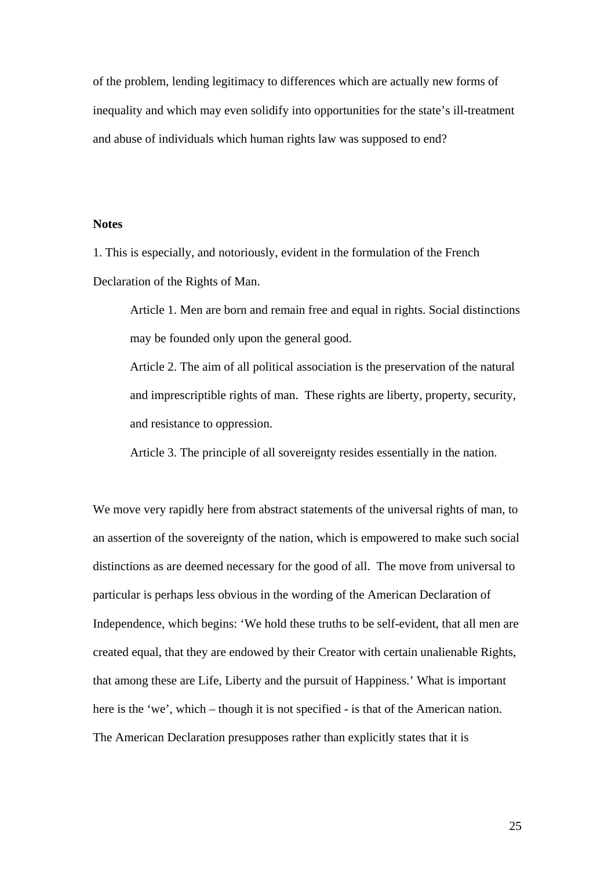of the problem, lending legitimacy to differences which are actually new forms of inequality and which may even solidify into opportunities for the state's ill-treatment and abuse of individuals which human rights law was supposed to end?

# **Notes**

1. This is especially, and notoriously, evident in the formulation of the French Declaration of the Rights of Man.

Article 1. Men are born and remain free and equal in rights. Social distinctions may be founded only upon the general good.

Article 2. The aim of all political association is the preservation of the natural and imprescriptible rights of man. These rights are liberty, property, security, and resistance to oppression.

Article 3. The principle of all sovereignty resides essentially in the nation.

We move very rapidly here from abstract statements of the universal rights of man, to an assertion of the sovereignty of the nation, which is empowered to make such social distinctions as are deemed necessary for the good of all. The move from universal to particular is perhaps less obvious in the wording of the American Declaration of Independence, which begins: 'We hold these truths to be [self-evident,](http://en.wikipedia.org/wiki/Self-evident) that [all men are](http://en.wikipedia.org/wiki/All_men_are_created_equal)  [created equal,](http://en.wikipedia.org/wiki/All_men_are_created_equal) that they are endowed by their [Creator](http://en.wikipedia.org/wiki/Creator_deity) with certain [unalienable Rights,](http://en.wikipedia.org/wiki/Inalienable_rights) that among these are [Life, Liberty and the pursuit of Happiness.](http://en.wikipedia.org/wiki/Life%2C_liberty_and_the_pursuit_of_happiness)' What is important here is the 'we', which – though it is not specified - is that of the American nation. The American Declaration presupposes rather than explicitly states that it is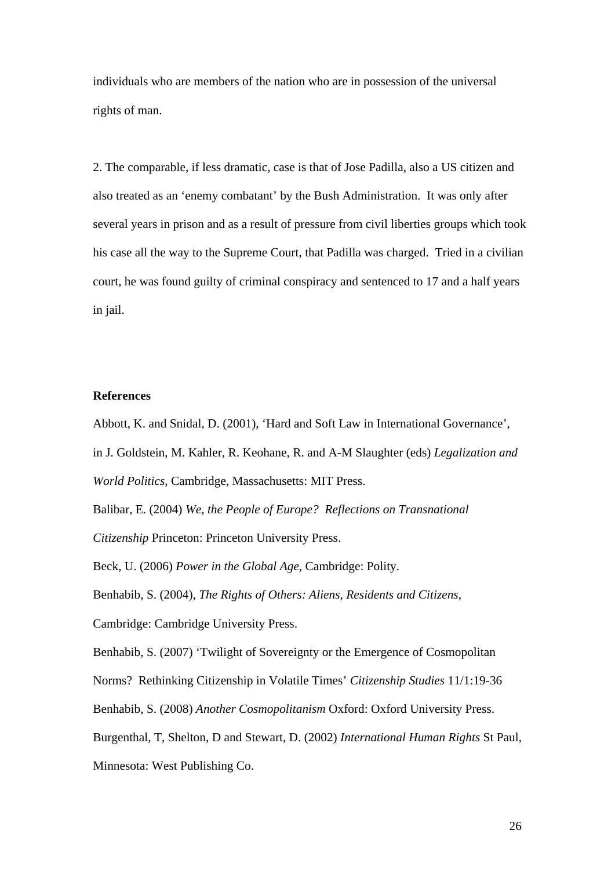individuals who are members of the nation who are in possession of the universal rights of man.

2. The comparable, if less dramatic, case is that of Jose Padilla, also a US citizen and also treated as an 'enemy combatant' by the Bush Administration. It was only after several years in prison and as a result of pressure from civil liberties groups which took his case all the way to the Supreme Court, that Padilla was charged. Tried in a civilian court, he was found guilty of criminal conspiracy and sentenced to 17 and a half years in jail.

### **References**

Abbott, K. and Snidal, D. (2001), 'Hard and Soft Law in International Governance',

in J. Goldstein, M. Kahler, R. Keohane, R. and A-M Slaughter (eds) *Legalization and* 

*World Politics*, Cambridge, Massachusetts: MIT Press.

Balibar, E. (2004) *We, the People of Europe? Reflections on Transnational* 

*Citizenship* Princeton: Princeton University Press.

Beck, U. (2006) *Power in the Global Age*, Cambridge: Polity.

Benhabib, S. (2004), *The Rights of Others: Aliens, Residents and Citizens*,

Cambridge: Cambridge University Press.

Benhabib, S. (2007) 'Twilight of Sovereignty or the Emergence of Cosmopolitan

Norms? Rethinking Citizenship in Volatile Times' *Citizenship Studies* 11/1:19-36

Benhabib, S. (2008) *Another Cosmopolitanism* Oxford: Oxford University Press.

Burgenthal, T, Shelton, D and Stewart, D. (2002) *International Human Rights* St Paul,

Minnesota: West Publishing Co.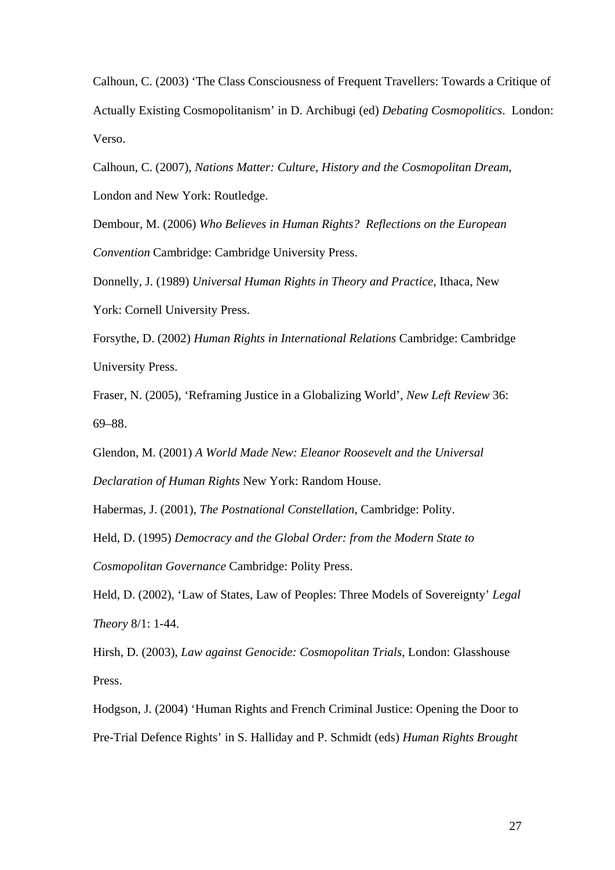Calhoun, C. (2003) 'The Class Consciousness of Frequent Travellers: Towards a Critique of Actually Existing Cosmopolitanism' in D. Archibugi (ed) *Debating Cosmopolitics*. London: Verso.

Calhoun, C. (2007), *Nations Matter: Culture, History and the Cosmopolitan Dream*, London and New York: Routledge.

Dembour, M. (2006) *Who Believes in Human Rights? Reflections on the European Convention* Cambridge: Cambridge University Press.

Donnelly, J. (1989) *Universal Human Rights in Theory and Practice*, Ithaca, New York: Cornell University Press.

Forsythe, D. (2002) *Human Rights in International Relations* Cambridge: Cambridge University Press.

Fraser, N. (2005), 'Reframing Justice in a Globalizing World', *New Left Review* 36: 69–88.

Glendon, M. (2001) *A World Made New: Eleanor Roosevelt and the Universal Declaration of Human Rights* New York: Random House.

Habermas, J. (2001), *The Postnational Constellation*, Cambridge: Polity.

Held, D. (1995) *Democracy and the Global Order: from the Modern State to Cosmopolitan Governance* Cambridge: Polity Press.

Held, D. (2002), 'Law of States, Law of Peoples: Three Models of Sovereignty' *Legal Theory* 8/1: 1-44.

Hirsh, D. (2003), *Law against Genocide: Cosmopolitan Trials*, London: Glasshouse Press.

Hodgson, J. (2004) 'Human Rights and French Criminal Justice: Opening the Door to Pre-Trial Defence Rights' in S. Halliday and P. Schmidt (eds) *Human Rights Brought*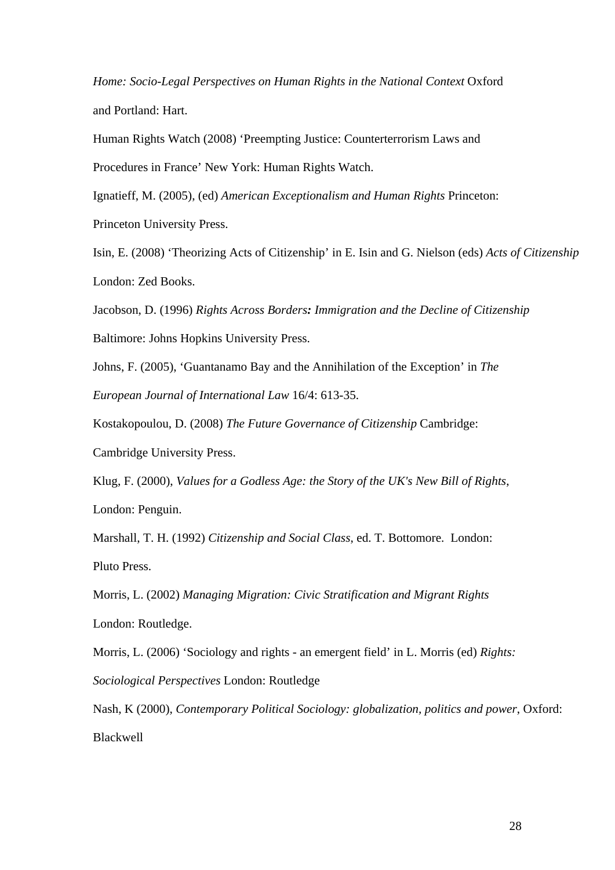*Home: Socio-Legal Perspectives on Human Rights in the National Context Oxford* and Portland: Hart.

Human Rights Watch (2008) 'Preempting Justice: Counterterrorism Laws and Procedures in France' New York: Human Rights Watch.

Ignatieff, M. (2005), (ed) *American Exceptionalism and Human Rights* Princeton:

Princeton University Press.

Isin, E. (2008) 'Theorizing Acts of Citizenship' in E. Isin and G. Nielson (eds) *Acts of Citizenship* London: Zed Books.

Jacobson, D. (1996) *Rights Across Borders: Immigration and the Decline of Citizenship*

Baltimore: Johns Hopkins University Press.

Johns, F. (2005), 'Guantanamo Bay and the Annihilation of the Exception' in *The* 

*European Journal of International Law* 16/4: 613-35.

Kostakopoulou, D. (2008) *The Future Governance of Citizenship* Cambridge:

Cambridge University Press.

Klug, F. (2000), *Values for a Godless Age: the Story of the UK's New Bill of Rights*, London: Penguin.

Marshall, T. H. (1992) *Citizenship and Social Class*, ed. T. Bottomore. London: Pluto Press.

Morris, L. (2002) *Managing Migration: Civic Stratification and Migrant Rights* London: Routledge.

Morris, L. (2006) 'Sociology and rights - an emergent field' in L. Morris (ed) *Rights:* 

*Sociological Perspectives* London: Routledge

Nash, K (2000), *Contemporary Political Sociology: globalization, politics and power*, Oxford: Blackwell